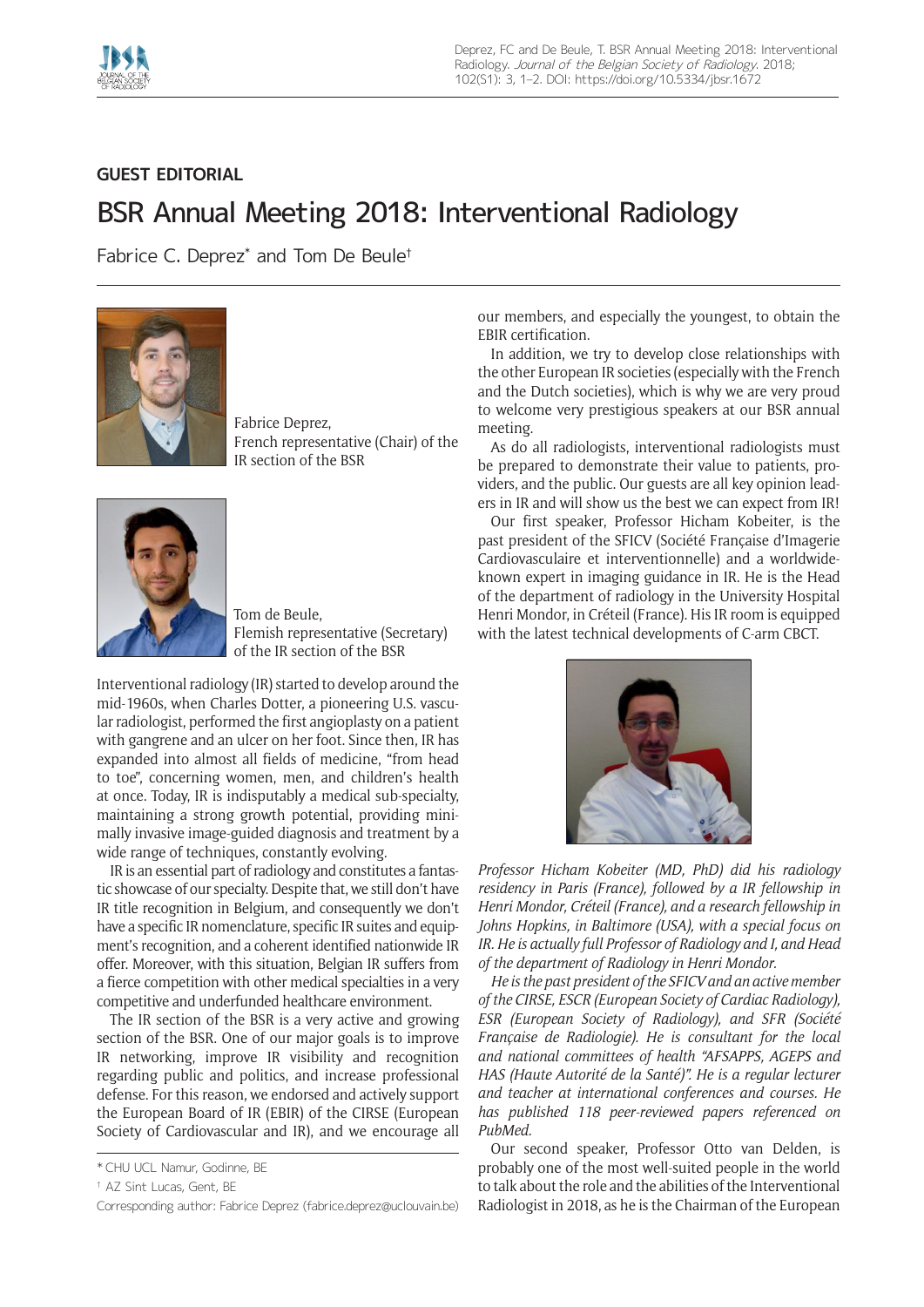

## **GUEST EDITORIAL**

## BSR Annual Meeting 2018: Interventional Radiology

Fabrice C. Deprez\* and Tom De Beule†



Fabrice Deprez, French representative (Chair) of the IR section of the BSR



Tom de Beule, Flemish representative (Secretary) of the IR section of the BSR

Interventional radiology (IR) started to develop around the mid-1960s, when Charles Dotter, a pioneering U.S. vascular radiologist, performed the first angioplasty on a patient with gangrene and an ulcer on her foot. Since then, IR has expanded into almost all fields of medicine, "from head to toe", concerning women, men, and children's health at once. Today, IR is indisputably a medical sub-specialty, maintaining a strong growth potential, providing minimally invasive image-guided diagnosis and treatment by a wide range of techniques, constantly evolving.

IR is an essential part of radiology and constitutes a fantastic showcase of our specialty. Despite that, we still don't have IR title recognition in Belgium, and consequently we don't have a specific IR nomenclature, specific IR suites and equipment's recognition, and a coherent identified nationwide IR offer. Moreover, with this situation, Belgian IR suffers from a fierce competition with other medical specialties in a very competitive and underfunded healthcare environment.

The IR section of the BSR is a very active and growing section of the BSR. One of our major goals is to improve IR networking, improve IR visibility and recognition regarding public and politics, and increase professional defense. For this reason, we endorsed and actively support the European Board of IR (EBIR) of the CIRSE (European Society of Cardiovascular and IR), and we encourage all our members, and especially the youngest, to obtain the EBIR certification.

In addition, we try to develop close relationships with the other European IR societies (especially with the French and the Dutch societies), which is why we are very proud to welcome very prestigious speakers at our BSR annual meeting.

As do all radiologists, interventional radiologists must be prepared to demonstrate their value to patients, providers, and the public. Our guests are all key opinion leaders in IR and will show us the best we can expect from IR!

Our first speaker, Professor Hicham Kobeiter, is the past president of the SFICV (Société Française d'Imagerie Cardiovasculaire et interventionnelle) and a worldwideknown expert in imaging guidance in IR. He is the Head of the department of radiology in the University Hospital Henri Mondor, in Créteil (France). His IR room is equipped with the latest technical developments of C-arm CBCT.



*Professor Hicham Kobeiter (MD, PhD) did his radiology residency in Paris (France), followed by a IR fellowship in Henri Mondor, Créteil (France), and a research fellowship in Johns Hopkins, in Baltimore (USA), with a special focus on IR. He is actually full Professor of Radiology and I, and Head of the department of Radiology in Henri Mondor.*

*He is the past president of the SFICV and an active member of the CIRSE, ESCR (European Society of Cardiac Radiology), ESR (European Society of Radiology), and SFR (Société Française de Radiologie). He is consultant for the local and national committees of health "AFSAPPS, AGEPS and HAS (Haute Autorité de la Santé)". He is a regular lecturer and teacher at international conferences and courses. He has published 118 peer-reviewed papers referenced on PubMed.*

Our second speaker, Professor Otto van Delden, is probably one of the most well-suited people in the world to talk about the role and the abilities of the Interventional Radiologist in 2018, as he is the Chairman of the European

<sup>\*</sup> CHU UCL Namur, Godinne, BE

<sup>†</sup> AZ Sint Lucas, Gent, BE

Corresponding author: Fabrice Deprez [\(fabrice.deprez@uclouvain.be\)](mailto:fabrice.deprez@uclouvain.be)